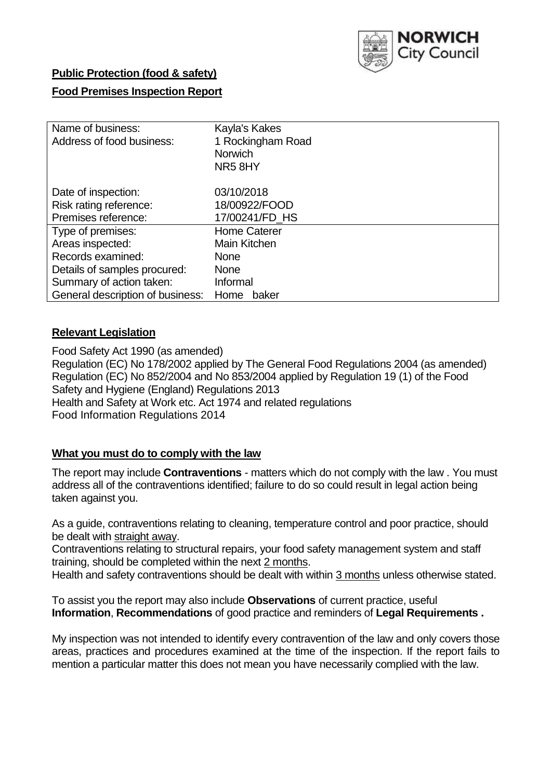

# **Public Protection (food & safety)**

# **Food Premises Inspection Report**

| Name of business:                | Kayla's Kakes       |  |  |  |  |  |
|----------------------------------|---------------------|--|--|--|--|--|
| Address of food business:        | 1 Rockingham Road   |  |  |  |  |  |
|                                  | <b>Norwich</b>      |  |  |  |  |  |
|                                  | NR58HY              |  |  |  |  |  |
| Date of inspection:              | 03/10/2018          |  |  |  |  |  |
| Risk rating reference:           | 18/00922/FOOD       |  |  |  |  |  |
| Premises reference:              | 17/00241/FD_HS      |  |  |  |  |  |
| Type of premises:                | <b>Home Caterer</b> |  |  |  |  |  |
| Areas inspected:                 | Main Kitchen        |  |  |  |  |  |
| Records examined:                | <b>None</b>         |  |  |  |  |  |
| Details of samples procured:     | <b>None</b>         |  |  |  |  |  |
| Summary of action taken:         | Informal            |  |  |  |  |  |
| General description of business: | Home<br>baker       |  |  |  |  |  |

# **Relevant Legislation**

Food Safety Act 1990 (as amended) Regulation (EC) No 178/2002 applied by The General Food Regulations 2004 (as amended) Regulation (EC) No 852/2004 and No 853/2004 applied by Regulation 19 (1) of the Food Safety and Hygiene (England) Regulations 2013 Health and Safety at Work etc. Act 1974 and related regulations Food Information Regulations 2014

# **What you must do to comply with the law**

The report may include **Contraventions** - matters which do not comply with the law . You must address all of the contraventions identified; failure to do so could result in legal action being taken against you.

As a guide, contraventions relating to cleaning, temperature control and poor practice, should be dealt with straight away.

Contraventions relating to structural repairs, your food safety management system and staff training, should be completed within the next 2 months.

Health and safety contraventions should be dealt with within 3 months unless otherwise stated.

To assist you the report may also include **Observations** of current practice, useful **Information**, **Recommendations** of good practice and reminders of **Legal Requirements .**

My inspection was not intended to identify every contravention of the law and only covers those areas, practices and procedures examined at the time of the inspection. If the report fails to mention a particular matter this does not mean you have necessarily complied with the law.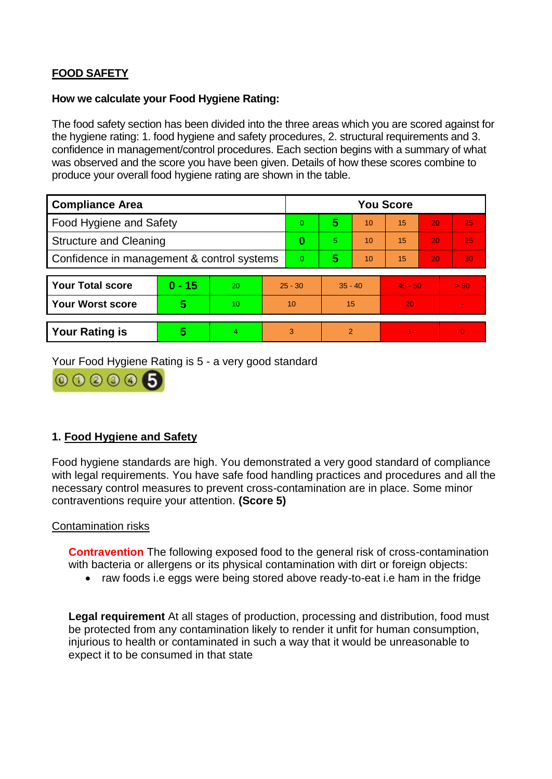# **FOOD SAFETY**

### **How we calculate your Food Hygiene Rating:**

The food safety section has been divided into the three areas which you are scored against for the hygiene rating: 1. food hygiene and safety procedures, 2. structural requirements and 3. confidence in management/control procedures. Each section begins with a summary of what was observed and the score you have been given. Details of how these scores combine to produce your overall food hygiene rating are shown in the table.

| <b>Compliance Area</b>                     |          |    |           | <b>You Score</b> |                |    |           |    |          |  |  |
|--------------------------------------------|----------|----|-----------|------------------|----------------|----|-----------|----|----------|--|--|
| Food Hygiene and Safety                    |          |    |           | $\Omega$         | 5              | 10 | 15        | 20 | 25       |  |  |
| <b>Structure and Cleaning</b>              |          |    | 0         | 5.               | 10             | 15 | 20        | 25 |          |  |  |
| Confidence in management & control systems |          |    | $\Omega$  | 5                | 10             | 15 | 20        | 30 |          |  |  |
|                                            |          |    |           |                  |                |    |           |    |          |  |  |
| <b>Your Total score</b>                    | $0 - 15$ | 20 | $25 - 30$ |                  | $35 - 40$      |    | $45 - 50$ |    | > 50     |  |  |
| <b>Your Worst score</b>                    | 5        | 10 |           | 10               | 15             |    | 20        |    |          |  |  |
|                                            |          |    |           |                  |                |    |           |    |          |  |  |
| <b>Your Rating is</b>                      | 5        | 4  | 3         |                  | $\overline{2}$ |    |           |    | $\Omega$ |  |  |

Your Food Hygiene Rating is 5 - a very good standard



# **1. Food Hygiene and Safety**

Food hygiene standards are high. You demonstrated a very good standard of compliance with legal requirements. You have safe food handling practices and procedures and all the necessary control measures to prevent cross-contamination are in place. Some minor contraventions require your attention. **(Score 5)**

# Contamination risks

**Contravention** The following exposed food to the general risk of cross-contamination with bacteria or allergens or its physical contamination with dirt or foreign objects:

• raw foods i.e eggs were being stored above ready-to-eat i.e ham in the fridge

**Legal requirement** At all stages of production, processing and distribution, food must be protected from any contamination likely to render it unfit for human consumption, injurious to health or contaminated in such a way that it would be unreasonable to expect it to be consumed in that state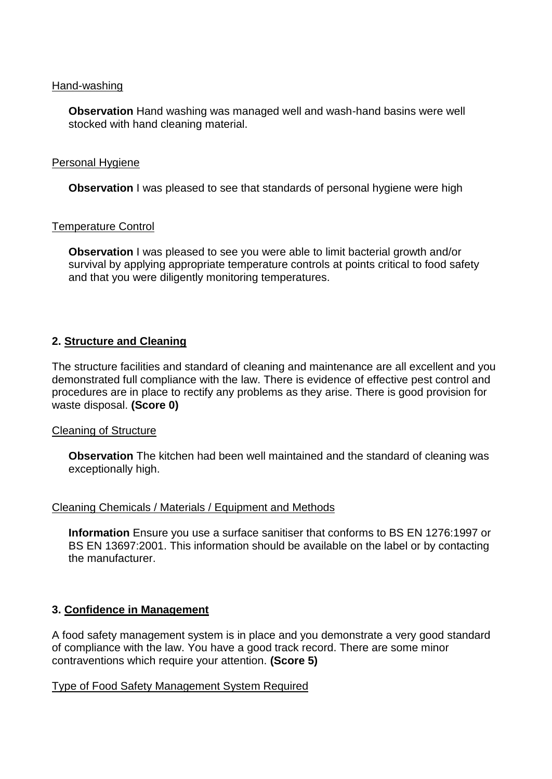#### Hand-washing

**Observation** Hand washing was managed well and wash-hand basins were well stocked with hand cleaning material.

#### Personal Hygiene

**Observation** I was pleased to see that standards of personal hygiene were high

#### Temperature Control

**Observation** I was pleased to see you were able to limit bacterial growth and/or survival by applying appropriate temperature controls at points critical to food safety and that you were diligently monitoring temperatures.

# **2. Structure and Cleaning**

The structure facilities and standard of cleaning and maintenance are all excellent and you demonstrated full compliance with the law. There is evidence of effective pest control and procedures are in place to rectify any problems as they arise. There is good provision for waste disposal. **(Score 0)**

# Cleaning of Structure

**Observation** The kitchen had been well maintained and the standard of cleaning was exceptionally high.

# Cleaning Chemicals / Materials / Equipment and Methods

**Information** Ensure you use a surface sanitiser that conforms to BS EN 1276:1997 or BS EN 13697:2001. This information should be available on the label or by contacting the manufacturer.

# **3. Confidence in Management**

A food safety management system is in place and you demonstrate a very good standard of compliance with the law. You have a good track record. There are some minor contraventions which require your attention. **(Score 5)**

# Type of Food Safety Management System Required